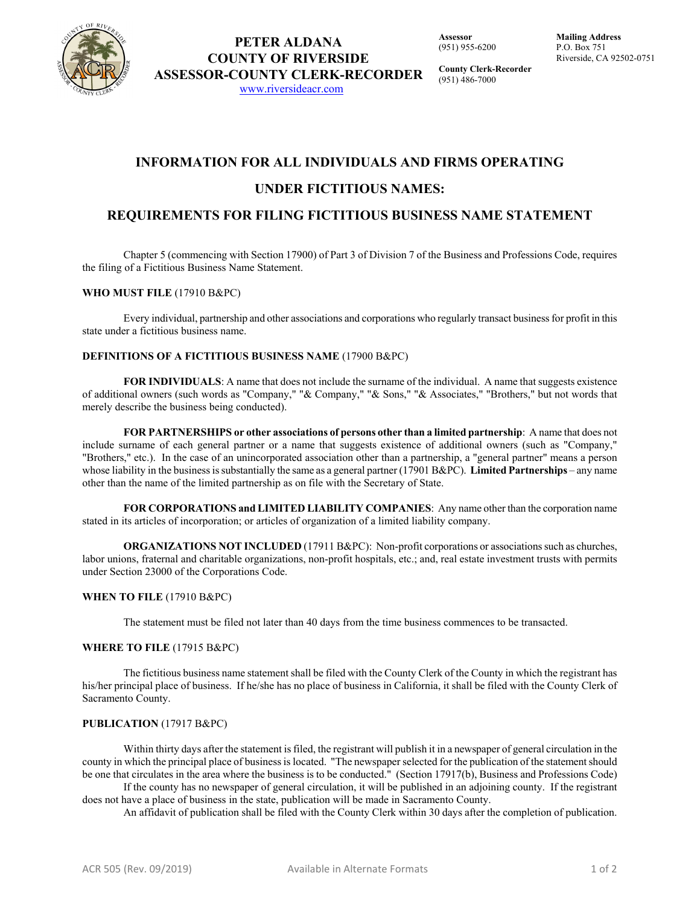

**Assessor** (951) 955-6200

**County Clerk-Recorder** (951) 486-7000

# **INFORMATION FOR ALL INDIVIDUALS AND FIRMS OPERATING**

# **UNDER FICTITIOUS NAMES:**

### **REQUIREMENTS FOR FILING FICTITIOUS BUSINESS NAME STATEMENT**

Chapter 5 (commencing with Section 17900) of Part 3 of Division 7 of the Business and Professions Code, requires the filing of a Fictitious Business Name Statement.

### **WHO MUST FILE** (17910 B&PC)

Every individual, partnership and other associations and corporations who regularly transact business for profit in this state under a fictitious business name.

### **DEFINITIONS OF A FICTITIOUS BUSINESS NAME** (17900 B&PC)

**FOR INDIVIDUALS**: A name that does not include the surname of the individual. A name that suggests existence of additional owners (such words as "Company," "& Company," "& Sons," "& Associates," "Brothers," but not words that merely describe the business being conducted).

**FOR PARTNERSHIPS or other associations of persons other than a limited partnership**: A name that does not include surname of each general partner or a name that suggests existence of additional owners (such as "Company," "Brothers," etc.). In the case of an unincorporated association other than a partnership, a "general partner" means a person whose liability in the business is substantially the same as a general partner (17901 B&PC). **Limited Partnerships** – any name other than the name of the limited partnership as on file with the Secretary of State.

**FOR CORPORATIONS and LIMITED LIABILITY COMPANIES**: Any name other than the corporation name stated in its articles of incorporation; or articles of organization of a limited liability company.

**ORGANIZATIONS NOT INCLUDED** (17911 B&PC): Non-profit corporations or associations such as churches, labor unions, fraternal and charitable organizations, non-profit hospitals, etc.; and, real estate investment trusts with permits under Section 23000 of the Corporations Code.

### **WHEN TO FILE** (17910 B&PC)

The statement must be filed not later than 40 days from the time business commences to be transacted.

### **WHERE TO FILE** (17915 B&PC)

The fictitious business name statement shall be filed with the County Clerk of the County in which the registrant has his/her principal place of business. If he/she has no place of business in California, it shall be filed with the County Clerk of Sacramento County.

### **PUBLICATION** (17917 B&PC)

Within thirty days after the statement is filed, the registrant will publish it in a newspaper of general circulation in the county in which the principal place of business is located. "The newspaper selected for the publication of the statement should be one that circulates in the area where the business is to be conducted." (Section 17917(b), Business and Professions Code)

If the county has no newspaper of general circulation, it will be published in an adjoining county. If the registrant does not have a place of business in the state, publication will be made in Sacramento County.

An affidavit of publication shall be filed with the County Clerk within 30 days after the completion of publication.